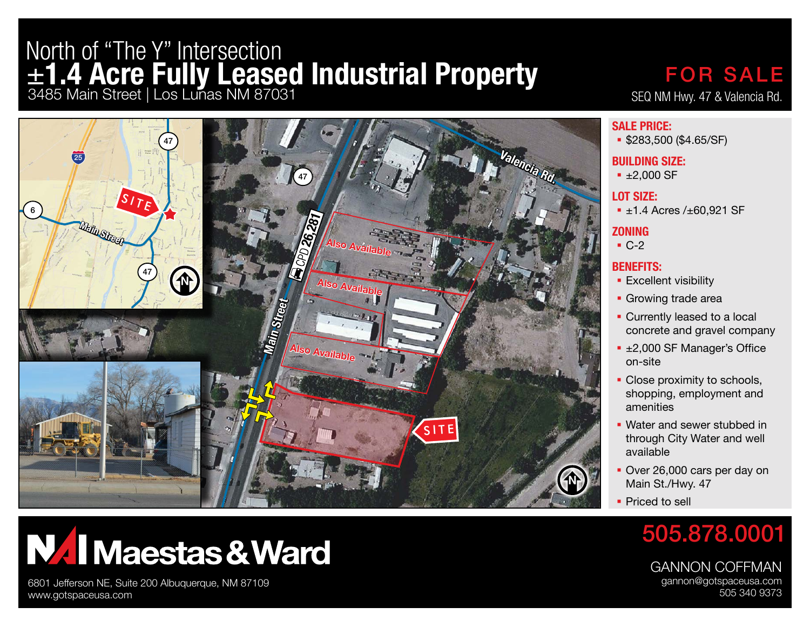## ±**1.4 Acre Fully Leased Industrial Property** 3485 Main Street | Los Lunas NM 87031 North of "The Y" Intersection



### SEQ NM Hwy. 47 & Valencia Rd. FOR SALE

#### **SALE PRICE:**

**\$283,500 (\$4.65/SF)** 

#### **BUILDING SIZE:**

■ ±2,000 SF

#### **LOT SIZE:**

■ ±1.4 Acres /±60.921 SF

#### **ZONING**

 $-C-2$ 

### **BENEFITS:**

- **Excellent visibility**
- **Growing trade area**
- **Currently leased to a local** concrete and gravel company
- ±2,000 SF Manager's Office on-site
- Close proximity to schools, shopping, employment and amenities
- **Water and sewer stubbed in** through City Water and well available
- Over 26,000 cars per day on Main St./Hwy. 47
- **Priced to sell**

### 505.878.0001

GANNON COFFMAN gannon@gotspaceusa.com 505 340 9373

# **NAI Maestas & Ward**

6801 Jefferson NE, Suite 200 Albuquerque, NM 87109 www.gotspaceusa.com